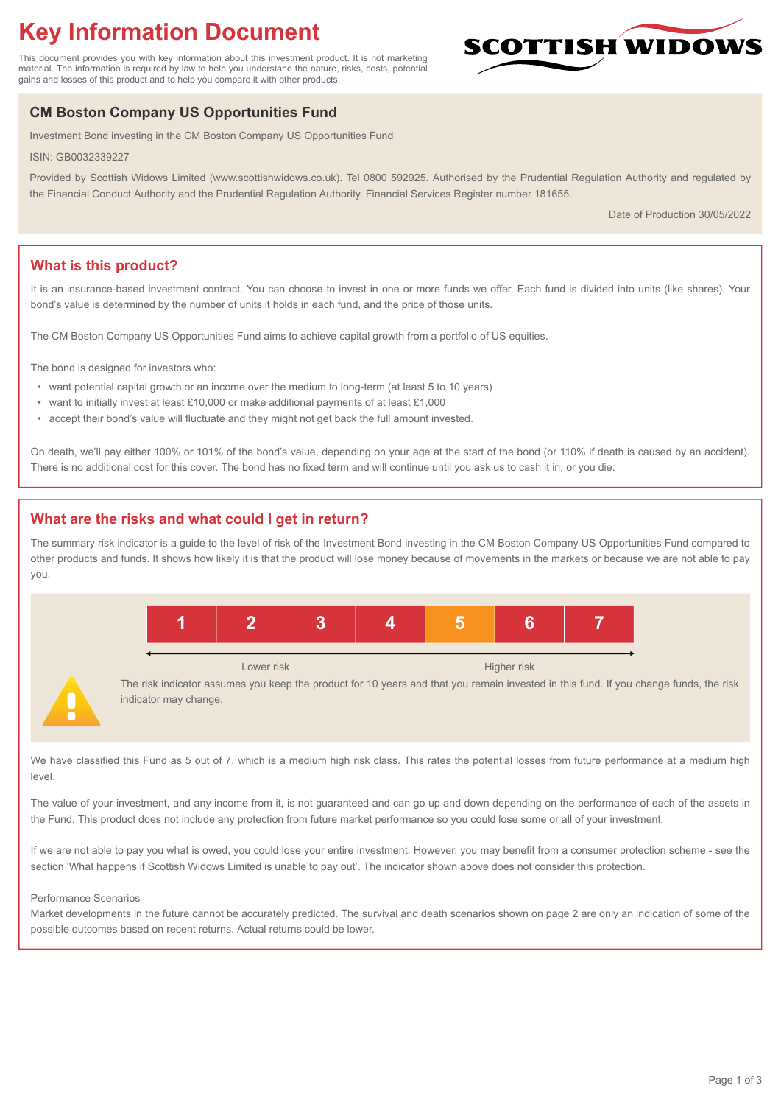# **Key Information Document**

This document provides you with key information about this investment product. It is not marketing material. The information is required by law to help you understand the nature, risks, costs, potential gains and losses of this product and to help you compare it with other products.

# **CM Boston Company US Opportunities Fund**

Investment Bond investing in the CM Boston Company US Opportunities Fund

ISIN: GB0032339227

Provided by Scottish Widows Limited (www.scottishwidows.co.uk). Tel 0800 592925. Authorised by the Prudential Regulation Authority and regulated by the Financial Conduct Authority and the Prudential Regulation Authority. Financial Services Register number 181655.

Date of Production 30/05/2022

**SCOTTISH WIDOW** 

# **What is this product?**

It is an insurance-based investment contract. You can choose to invest in one or more funds we offer. Each fund is divided into units (like shares). Your bond's value is determined by the number of units it holds in each fund, and the price of those units.

The CM Boston Company US Opportunities Fund aims to achieve capital growth from a portfolio of US equities.

The bond is designed for investors who:

- want potential capital growth or an income over the medium to long-term (at least 5 to 10 years)
- want to initially invest at least £10,000 or make additional payments of at least £1,000
- accept their bond's value will fluctuate and they might not get back the full amount invested.

On death, we'll pay either 100% or 101% of the bond's value, depending on your age at the start of the bond (or 110% if death is caused by an accident). There is no additional cost for this cover. The bond has no fixed term and will continue until you ask us to cash it in, or you die.

# **What are the risks and what could I get in return?**

The summary risk indicator is a guide to the level of risk of the Investment Bond investing in the CM Boston Company US Opportunities Fund compared to other products and funds. It shows how likely it is that the product will lose money because of movements in the markets or because we are not able to pay you.



We have classified this Fund as 5 out of 7, which is a medium high risk class. This rates the potential losses from future performance at a medium high level

The value of your investment, and any income from it, is not guaranteed and can go up and down depending on the performance of each of the assets in the Fund. This product does not include any protection from future market performance so you could lose some or all of your investment.

If we are not able to pay you what is owed, you could lose your entire investment. However, you may benefit from a consumer protection scheme - see the section 'What happens if Scottish Widows Limited is unable to pay out'. The indicator shown above does not consider this protection.

#### Performance Scenarios

Market developments in the future cannot be accurately predicted. The survival and death scenarios shown on page 2 are only an indication of some of the possible outcomes based on recent returns. Actual returns could be lower.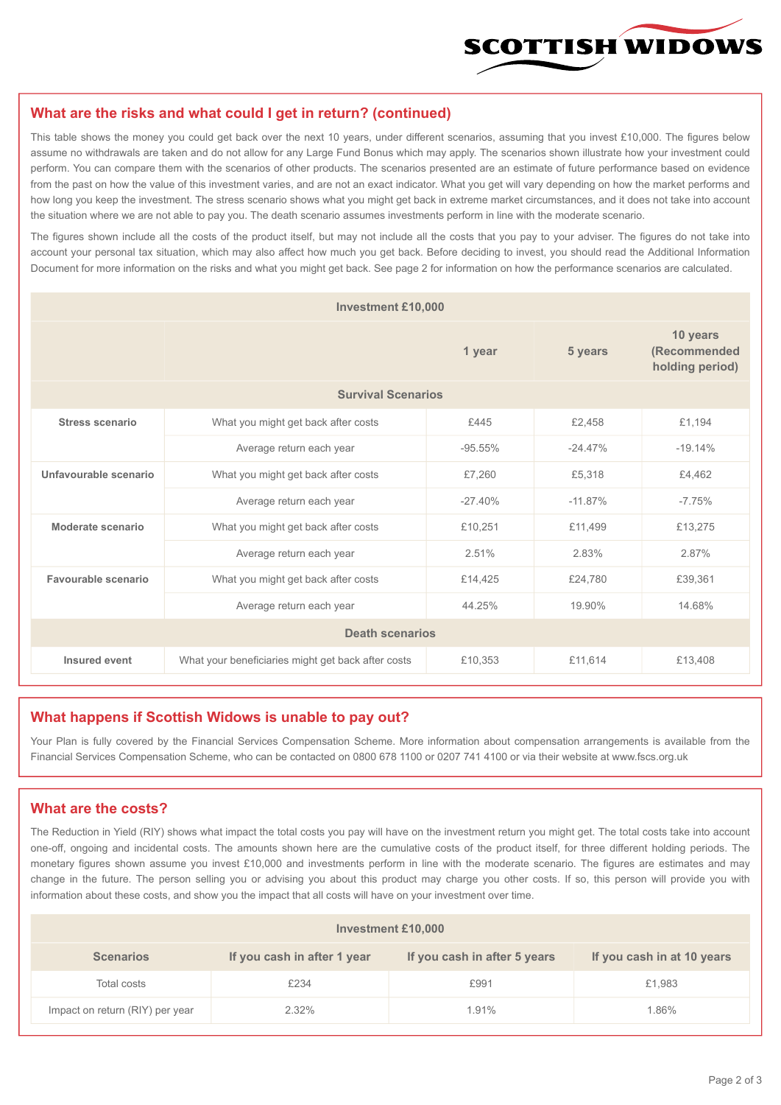

#### **What are the risks and what could I get in return? (continued)**

This table shows the money you could get back over the next 10 years, under different scenarios, assuming that you invest £10,000. The figures below assume no withdrawals are taken and do not allow for any Large Fund Bonus which may apply. The scenarios shown illustrate how your investment could perform. You can compare them with the scenarios of other products. The scenarios presented are an estimate of future performance based on evidence from the past on how the value of this investment varies, and are not an exact indicator. What you get will vary depending on how the market performs and how long you keep the investment. The stress scenario shows what you might get back in extreme market circumstances, and it does not take into account the situation where we are not able to pay you. The death scenario assumes investments perform in line with the moderate scenario.

The figures shown include all the costs of the product itself, but may not include all the costs that you pay to your adviser. The figures do not take into account your personal tax situation, which may also affect how much you get back. Before deciding to invest, you should read the Additional Information Document for more information on the risks and what you might get back. See page 2 for information on how the performance scenarios are calculated.

| <b>Investment £10,000</b> |                                                    |           |                                             |           |  |  |
|---------------------------|----------------------------------------------------|-----------|---------------------------------------------|-----------|--|--|
|                           |                                                    | 5 years   | 10 years<br>(Recommended<br>holding period) |           |  |  |
| <b>Survival Scenarios</b> |                                                    |           |                                             |           |  |  |
| <b>Stress scenario</b>    | £445<br>What you might get back after costs        |           | £2,458                                      | £1,194    |  |  |
|                           | Average return each year<br>$-95.55%$              |           | $-24.47%$                                   | $-19.14%$ |  |  |
| Unfavourable scenario     | What you might get back after costs<br>£7,260      |           | £5,318                                      | £4,462    |  |  |
|                           | Average return each year                           | $-27.40%$ | $-11.87%$                                   | $-7.75%$  |  |  |
| Moderate scenario         | What you might get back after costs                | £10,251   | £11,499                                     | £13,275   |  |  |
|                           | Average return each year                           | 2.51%     | 2.83%                                       | 2.87%     |  |  |
| Favourable scenario       | What you might get back after costs                | £14,425   | £24,780                                     | £39,361   |  |  |
|                           | Average return each year                           | 44.25%    | 19.90%                                      | 14.68%    |  |  |
| <b>Death scenarios</b>    |                                                    |           |                                             |           |  |  |
| Insured event             | What your beneficiaries might get back after costs | £10,353   | £11,614                                     | £13,408   |  |  |

#### **What happens if Scottish Widows is unable to pay out?**

Your Plan is fully covered by the Financial Services Compensation Scheme. More information about compensation arrangements is available from the Financial Services Compensation Scheme, who can be contacted on 0800 678 1100 or 0207 741 4100 or via their website at www.fscs.org.uk

# **What are the costs?**

The Reduction in Yield (RIY) shows what impact the total costs you pay will have on the investment return you might get. The total costs take into account one-off, ongoing and incidental costs. The amounts shown here are the cumulative costs of the product itself, for three different holding periods. The monetary figures shown assume you invest £10,000 and investments perform in line with the moderate scenario. The figures are estimates and may change in the future. The person selling you or advising you about this product may charge you other costs. If so, this person will provide you with information about these costs, and show you the impact that all costs will have on your investment over time.

| Investment £10,000              |                             |                              |                            |  |  |  |
|---------------------------------|-----------------------------|------------------------------|----------------------------|--|--|--|
| <b>Scenarios</b>                | If you cash in after 1 year | If you cash in after 5 years | If you cash in at 10 years |  |  |  |
| Total costs                     | £234                        | £991                         | £1,983                     |  |  |  |
| Impact on return (RIY) per year | 2.32%                       | 1.91%                        | 1.86%                      |  |  |  |